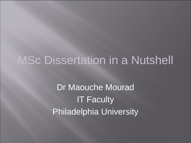# MSc Dissertation in a Nutshell

Dr Maouche Mourad IT Faculty Philadelphia University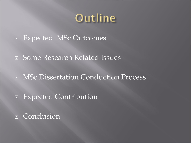# Outline

- Expected MSc Outcomes
- Some Research Related Issues
- □ MSc Dissertation Conduction Process
- □ Expected Contribution
- **E** Conclusion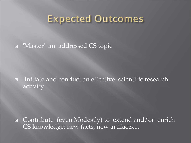### **Expected Outcomes**

'Master' an addressed CS topic

 Initiate and conduct an effective scientific research activity

 Contribute (even Modestly) to extend and/or enrich CS knowledge: new facts, new artifacts.....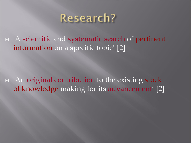

 'A scientific and systematic search of pertinent information on a specific topic' [2]

 'An original contribution to the existing stock of knowledge making for its advancement' [2]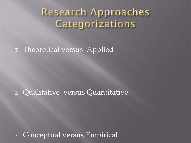## **Research Approaches** Categorizations

#### **E** Theoretical versus Applied

#### Qualitative versus Quantitative

**E Conceptual versus Empirical**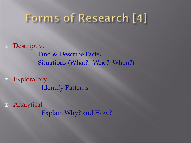# Forms of Research [4]

**n** Descriptive Find & Describe Facts, Situations (What?, Who?, When?)

**Exploratory** Identify Patterns

 Analytical Explain Why? and How?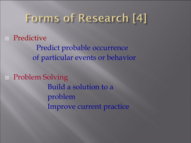## Forms of Research [4]

**E** Predictive

 Predict probable occurrence of particular events or behavior

**E** Problem Solving Build a solution to a problem Improve current practice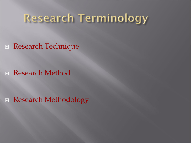# **Research Terminology**

Research Technique

Research Method

■ Research Methodology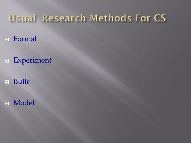## **Usual Research Methods For CS**

- Formal
- Experiment
- Build
- D Model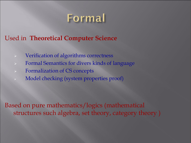

#### Used in **Theoretical Computer Science**

- Verification of algorithms correctness
- Formal Semantics for divers kinds of language
- Formalization of CS concepts
- Model checking (system properties proof)

Based on pure mathematics/logics (mathematical structures such algebra, set theory, category theory )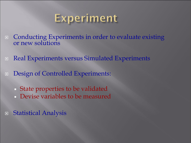## Experiment

- **EXPERIMENT CONDUCTING EXPERIMENTS IN Order to evaluate existing** or new solutions
- **Experiments versus Simulated Experiments**
- Design of Controlled Experiments:
	- State properties to be validated
	- Devise variables to be measured
- Statistical Analysis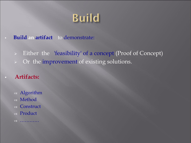# **Build**

**Build an artifact** to demonstrate:

Either the 'feasibility' of a concept (Proof of Concept)

- > Or the improvement of existing solutions.
- **Artifacts:**
	- Algorithm
	- Method
	- Construct
	- Product
	- …………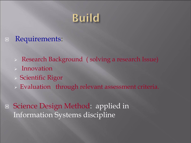# **Build**

#### **E** Requirements:

- Research Background ( solving a research Issue)
- Innovation
- Scientific Rigor
- Evaluation through relevant assessment criteria.
- Science Design Method: applied in Information Systems discipline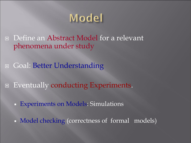

Define an Abstract Model for a relevant phenomena under study

**□ Goal: Better Understanding** 

□ Eventually conducting Experiments.

**Experiments on Models: Simulations** 

**Model checking (correctness of formal models)**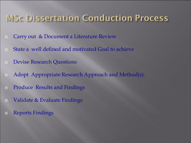### **MSc Dissertation Conduction Process**

- **□** Carry out & Document a Literature Review
- State a well defined and motivated Goal to achieve
- **Devise Research Questions**
- □ Adopt Appropriate Research Approach and Method(s).
- **E** Produce Results and Findings
- Validate & Evaluate Findings
- Reports Findings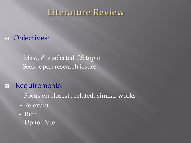### Literature Review

#### **D** Objectives:

- 'Master' a selected CS topic
- Seek open research issues

#### Requirements:

- Focus on closest , related, similar works
- Relevant
- Rich
- Up to Date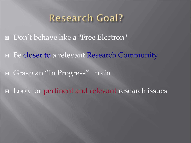### **Research Goal?**

Don't behave like a "Free Electron"

**□** Be closer to a relevant Research Community

□ Grasp an "In Progress" train

Look for pertinent and relevant research issues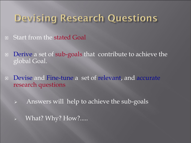## Devising Research Questions

- **E** Start from the stated Goal
- □ Derive a set of sub-goals that contribute to achieve the global Goal.
- **Devise and Fine-tune a set of relevant, and accurate** research questions
	- $\triangleright$  Answers will help to achieve the sub-goals
	- What? Why? How?.....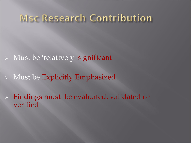- Must be 'relatively' significant
- Must be Explicitly Emphasized
- $\triangleright$  Findings must be evaluated, validated or verified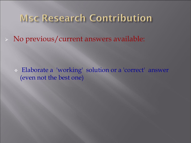No previous/current answers available:

 Elaborate a 'working' solution or a 'correct' answer (even not the best one)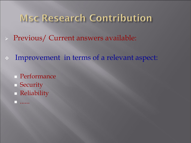- Previous/ Current answers available:
- Improvement in terms of a relevant aspect:
	- Performance
	- **Security**
	- **Reliability**
	- ......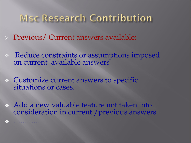- Previous/ Current answers available:
- Reduce constraints or assumptions imposed on current available answers
- Customize current answers to specific situations or cases.

...............

 Add a new valuable feature not taken into consideration in current /previous answers.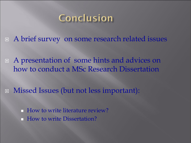## Conclusion

■ A brief survey on some research related issues

 A presentation of some hints and advices on how to conduct a MSc Research Dissertation

Missed Issues (but not less important):

 How to write literature review? How to write Dissertation?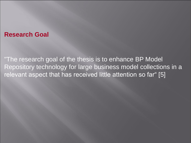#### **Research Goal**

"The research goal of the thesis is to enhance BP Model Repository technology for large business model collections in a relevant aspect that has received little attention so far" [5]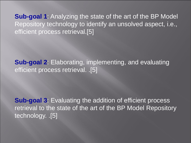**Sub-goal 1**: Analyzing the state of the art of the BP Model Repository technology to identify an unsolved aspect, i.e., efficient process retrieval.[5]

**Sub-goal 2**: Elaborating, implementing, and evaluating efficient process retrieval. .[5]

**Sub-goal 3: Evaluating the addition of efficient process** retrieval to the state of the art of the BP Model Repository technology. .[5]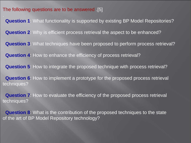The following questions are to be answered .[5]

**Question 1**: What functionality is supported by existing BP Model Repositories? **Question 2**: Why is efficient process retrieval the aspect to be enhanced? **Question 3**: What techniques have been proposed to perform process retrieval? **Question 4**: How to enhance the efficiency of process retrieval? **Question 5**: How to integrate the proposed technique with process retrieval? **Question 6**: How to implement a prototype for the proposed process retrieval techniques? **Question 7**: How to evaluate the efficiency of the proposed process retrieval techniques?

**Question 8**: What is the contribution of the proposed techniques to the state of the art of BP Model Repository technology?